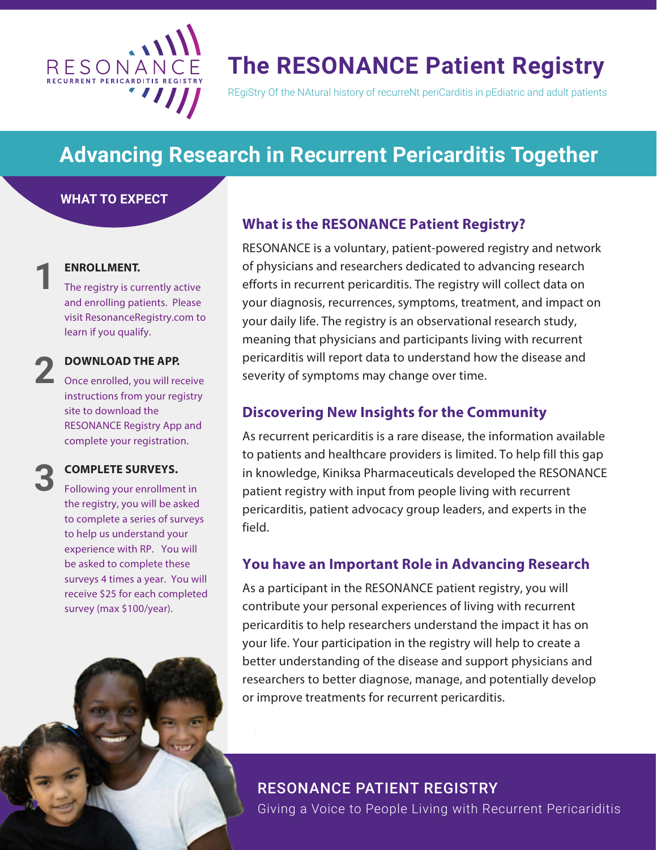

## **The RESONANCE Patient Registry**

REgiStry Of the NAtural history of recurreNt periCarditis in pEdiatric and adult patients

## **Advancing Research in Recurrent Pericarditis Together**

### **WHAT TO EXPECT**

## **ENROLLMENT. 1**

**2**

**3**

The registry is currently active and enrolling patients. Please visit [ResonanceRegistry.com](www.resonanceregistry.com) to learn if you qualify.

### **DOWNLOAD THE APP.**

Once enrolled, you will receive instructions from your registry site to download the RESONANCE Registry App and complete your registration.

#### **COMPLETE SURVEYS.**

Following your enrollment in the registry, you will be asked to complete a series of surveys to help us understand your experience with RP. You will be asked to complete these surveys 4 times a year. You will receive \$25 for each completed survey (max \$100/year).

## **What is the RESONANCE Patient Registry?**

RESONANCE is a voluntary, patient-powered registry and network of physicians and researchers dedicated to advancing research efforts in recurrent pericarditis. The registry will collect data on your diagnosis, recurrences, symptoms, treatment, and impact on your daily life. The registry is an observational research study, meaning that physicians and participants living with recurrent pericarditis will report data to understand how the disease and severity of symptoms may change over time.

### **Discovering New Insights for the Community**

As recurrent pericarditis is a rare disease, the information available to patients and healthcare providers is limited. To help fill this gap in knowledge, Kiniksa Pharmaceuticals developed the RESONANCE patient registry with input from people living with recurrent pericarditis, patient advocacy group leaders, and experts in the field.

### **You have an Important Role in Advancing Research**

As a participant in the RESONANCE patient registry, you will contribute your personal experiences of living with recurrent pericarditis to help researchers understand the impact it has on your life. Your participation in the registry will help to create a better understanding of the disease and support physicians and researchers to better diagnose, manage, and potentially develop or improve treatments for recurrent pericarditis.

## RESONANCE PATIENT REGISTRY

Giving a Voice to People Living with Recurrent Pericariditis